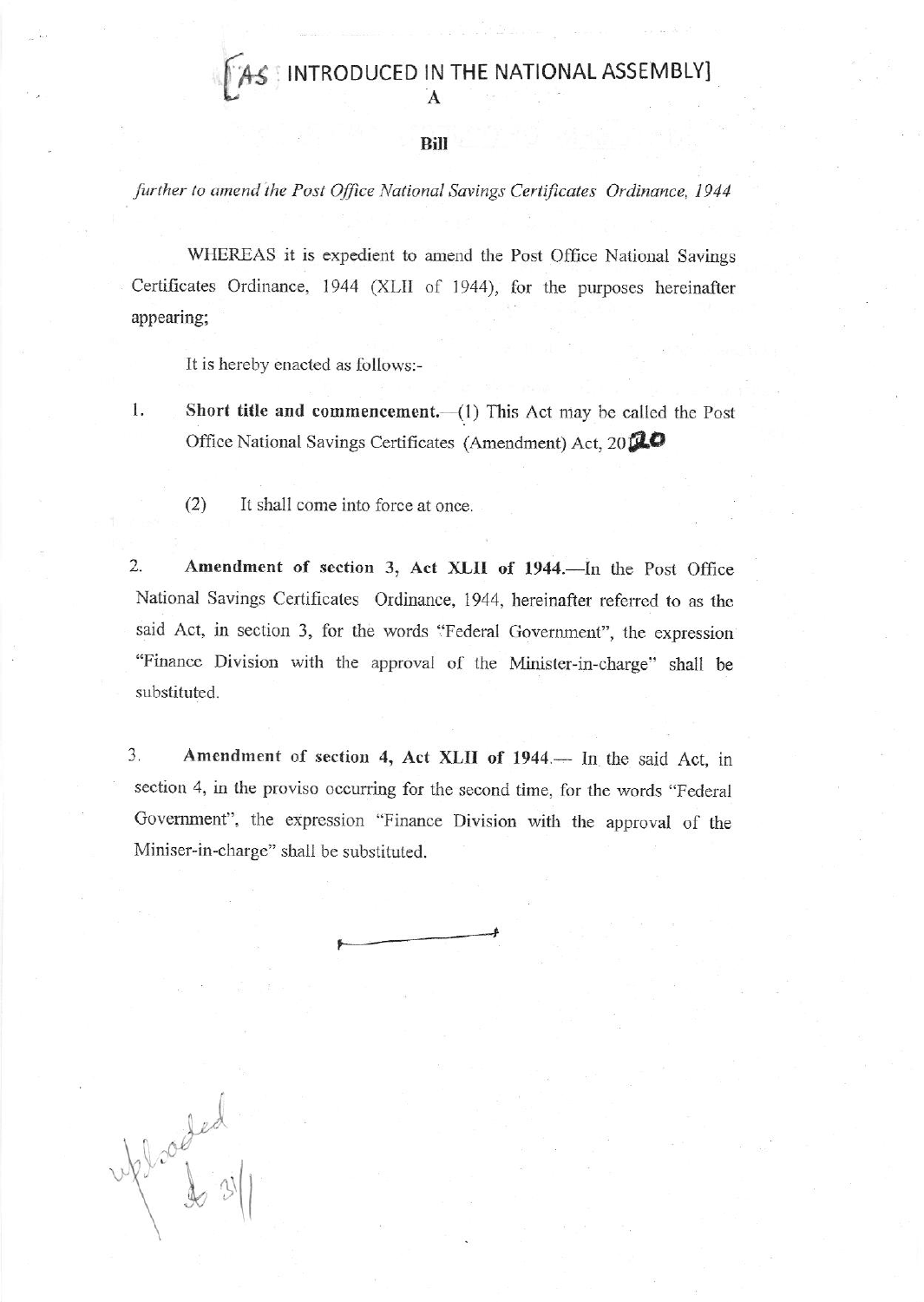AS INTRODUCED IN THE NATIONAL ASSEMBLY]

Bill

further to amend the Post Office National Savings Certificates Ordinance, 1944

WHEREAS it is expedient to amend the Post Office National Savings Certificates Ordinance, 1944 (XLII of 1944), for the purposes hereinafter appearing;

It is hereby enacted as follows:-

1. Short title and commencement.  $-(1)$  This Act may be called the Post Office National Savings Certificates (Amendment) Act, 20120

 $(2)$ It shall come into force at once.

Webcoded

Amendment of section 3, Act XLII of 1944. In the Post Office 2. National Savings Certificates Ordinance, 1944, hereinafter referred to as the said Act, in section 3, for the words "Federal Government", the expression "Finance Division with the approval of the Minister-in-charge" shall be substituted.

3. Amendment of section 4, Act XLII of 1944. In the said Act, in section 4, in the proviso occurring for the second time, for the words "Federal Government", the expression "Finance Division with the approval of the Miniser-in-charge" shall be substituted.